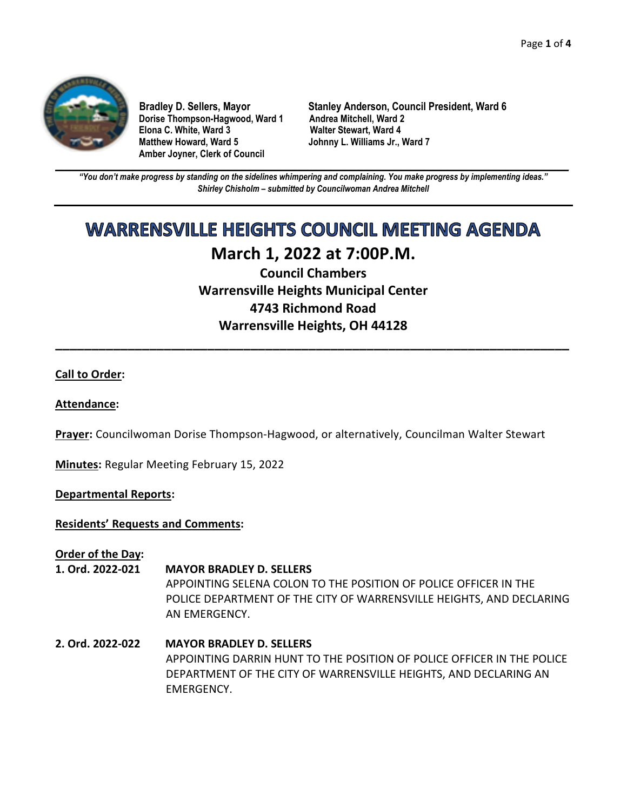

**Dorise Thompson-Hagwood, Ward 1 Elona C. White, Ward 3 Walter Stewart, Ward 4 Amber Joyner, Clerk of Council** 

**Bradley D. Sellers, Mayor Stanley Anderson, Council President, Ward 6 Johnny L. Williams Jr., Ward 7** 

**\_\_\_\_\_\_\_\_\_\_\_\_\_\_\_\_\_\_\_\_\_\_\_\_\_\_\_\_\_\_\_\_\_\_\_\_\_\_\_\_\_\_\_\_\_\_\_\_\_\_\_\_\_\_\_\_\_\_\_\_\_\_\_\_\_\_\_\_\_\_\_\_\_\_\_\_\_\_\_\_\_\_\_\_\_\_\_\_\_\_\_\_\_\_\_\_\_\_\_\_\_\_\_\_\_\_\_\_\_\_** *"You don't make progress by standing on the sidelines whimpering and complaining. You make progress by implementing ideas." Shirley Chisholm – submitted by Councilwoman Andrea Mitchell* 

# **WARRENSVILLE HEIGHTS COUNCIL MEETING AGENDA**

## **March 1, 2022 at 7:00P.M. Council Chambers**

**Warrensville Heights Municipal Center 4743 Richmond Road Warrensville Heights, OH 44128** 

**\_\_\_\_\_\_\_\_\_\_\_\_\_\_\_\_\_\_\_\_\_\_\_\_\_\_\_\_\_\_\_\_\_\_\_\_\_\_\_\_\_\_\_\_\_\_\_\_\_\_\_\_\_\_\_\_\_\_\_\_\_\_\_\_\_\_\_\_\_\_\_** 

### **Call to Order:**

#### **Attendance:**

**Prayer:** Councilwoman Dorise Thompson-Hagwood, or alternatively, Councilman Walter Stewart

**Minutes:** Regular Meeting February 15, 2022

#### **Departmental Reports:**

#### **Residents' Requests and Comments:**

**Order of the Day:** 

### **1. Ord. 2022-021 MAYOR BRADLEY D. SELLERS**

APPOINTING SELENA COLON TO THE POSITION OF POLICE OFFICER IN THE POLICE DEPARTMENT OF THE CITY OF WARRENSVILLE HEIGHTS, AND DECLARING AN EMERGENCY.

**2. Ord. 2022-022 MAYOR BRADLEY D. SELLERS** APPOINTING DARRIN HUNT TO THE POSITION OF POLICE OFFICER IN THE POLICE DEPARTMENT OF THE CITY OF WARRENSVILLE HEIGHTS, AND DECLARING AN EMERGENCY.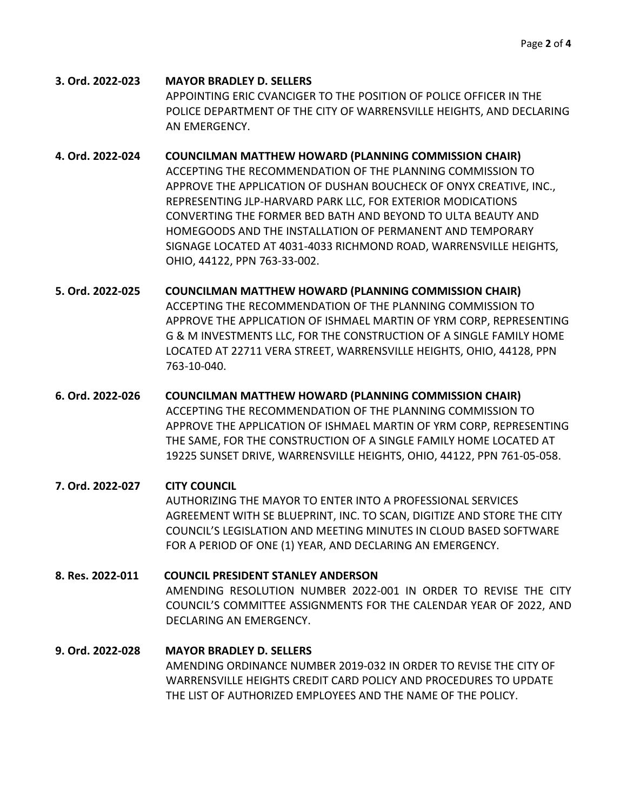- **3. Ord. 2022-023 MAYOR BRADLEY D. SELLERS** APPOINTING ERIC CVANCIGER TO THE POSITION OF POLICE OFFICER IN THE POLICE DEPARTMENT OF THE CITY OF WARRENSVILLE HEIGHTS, AND DECLARING AN EMERGENCY.
- **4. Ord. 2022-024 COUNCILMAN MATTHEW HOWARD (PLANNING COMMISSION CHAIR)** ACCEPTING THE RECOMMENDATION OF THE PLANNING COMMISSION TO APPROVE THE APPLICATION OF DUSHAN BOUCHECK OF ONYX CREATIVE, INC., REPRESENTING JLP-HARVARD PARK LLC, FOR EXTERIOR MODICATIONS CONVERTING THE FORMER BED BATH AND BEYOND TO ULTA BEAUTY AND HOMEGOODS AND THE INSTALLATION OF PERMANENT AND TEMPORARY SIGNAGE LOCATED AT 4031-4033 RICHMOND ROAD, WARRENSVILLE HEIGHTS, OHIO, 44122, PPN 763-33-002.
- **5. Ord. 2022-025 COUNCILMAN MATTHEW HOWARD (PLANNING COMMISSION CHAIR)** ACCEPTING THE RECOMMENDATION OF THE PLANNING COMMISSION TO APPROVE THE APPLICATION OF ISHMAEL MARTIN OF YRM CORP, REPRESENTING G & M INVESTMENTS LLC, FOR THE CONSTRUCTION OF A SINGLE FAMILY HOME LOCATED AT 22711 VERA STREET, WARRENSVILLE HEIGHTS, OHIO, 44128, PPN 763-10-040.
- **6. Ord. 2022-026 COUNCILMAN MATTHEW HOWARD (PLANNING COMMISSION CHAIR)** ACCEPTING THE RECOMMENDATION OF THE PLANNING COMMISSION TO APPROVE THE APPLICATION OF ISHMAEL MARTIN OF YRM CORP, REPRESENTING THE SAME, FOR THE CONSTRUCTION OF A SINGLE FAMILY HOME LOCATED AT 19225 SUNSET DRIVE, WARRENSVILLE HEIGHTS, OHIO, 44122, PPN 761-05-058.
- **7. Ord. 2022-027 CITY COUNCIL** AUTHORIZING THE MAYOR TO ENTER INTO A PROFESSIONAL SERVICES AGREEMENT WITH SE BLUEPRINT, INC. TO SCAN, DIGITIZE AND STORE THE CITY COUNCIL'S LEGISLATION AND MEETING MINUTES IN CLOUD BASED SOFTWARE FOR A PERIOD OF ONE (1) YEAR, AND DECLARING AN EMERGENCY.
- **8. Res. 2022-011 COUNCIL PRESIDENT STANLEY ANDERSON** AMENDING RESOLUTION NUMBER 2022-001 IN ORDER TO REVISE THE CITY COUNCIL'S COMMITTEE ASSIGNMENTS FOR THE CALENDAR YEAR OF 2022, AND DECLARING AN EMERGENCY.
- **9. Ord. 2022-028 MAYOR BRADLEY D. SELLERS** AMENDING ORDINANCE NUMBER 2019-032 IN ORDER TO REVISE THE CITY OF WARRENSVILLE HEIGHTS CREDIT CARD POLICY AND PROCEDURES TO UPDATE THE LIST OF AUTHORIZED EMPLOYEES AND THE NAME OF THE POLICY.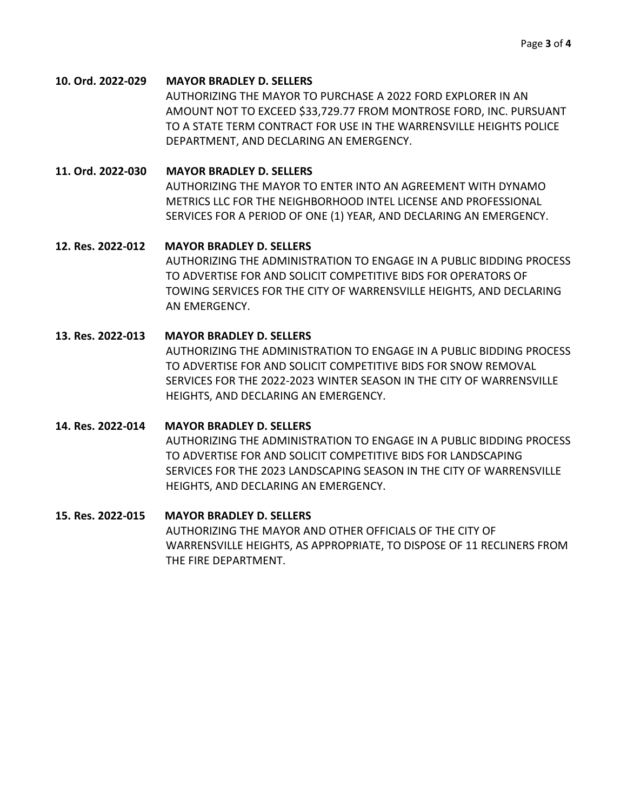#### **10. Ord. 2022-029 MAYOR BRADLEY D. SELLERS**

AUTHORIZING THE MAYOR TO PURCHASE A 2022 FORD EXPLORER IN AN AMOUNT NOT TO EXCEED \$33,729.77 FROM MONTROSE FORD, INC. PURSUANT TO A STATE TERM CONTRACT FOR USE IN THE WARRENSVILLE HEIGHTS POLICE DEPARTMENT, AND DECLARING AN EMERGENCY.

#### **11. Ord. 2022-030 MAYOR BRADLEY D. SELLERS**

AUTHORIZING THE MAYOR TO ENTER INTO AN AGREEMENT WITH DYNAMO METRICS LLC FOR THE NEIGHBORHOOD INTEL LICENSE AND PROFESSIONAL SERVICES FOR A PERIOD OF ONE (1) YEAR, AND DECLARING AN EMERGENCY.

#### **12. Res. 2022-012 MAYOR BRADLEY D. SELLERS**

AUTHORIZING THE ADMINISTRATION TO ENGAGE IN A PUBLIC BIDDING PROCESS TO ADVERTISE FOR AND SOLICIT COMPETITIVE BIDS FOR OPERATORS OF TOWING SERVICES FOR THE CITY OF WARRENSVILLE HEIGHTS, AND DECLARING AN EMERGENCY.

#### **13. Res. 2022-013 MAYOR BRADLEY D. SELLERS**

AUTHORIZING THE ADMINISTRATION TO ENGAGE IN A PUBLIC BIDDING PROCESS TO ADVERTISE FOR AND SOLICIT COMPETITIVE BIDS FOR SNOW REMOVAL SERVICES FOR THE 2022-2023 WINTER SEASON IN THE CITY OF WARRENSVILLE HEIGHTS, AND DECLARING AN EMERGENCY.

#### **14. Res. 2022-014 MAYOR BRADLEY D. SELLERS**

AUTHORIZING THE ADMINISTRATION TO ENGAGE IN A PUBLIC BIDDING PROCESS TO ADVERTISE FOR AND SOLICIT COMPETITIVE BIDS FOR LANDSCAPING SERVICES FOR THE 2023 LANDSCAPING SEASON IN THE CITY OF WARRENSVILLE HEIGHTS, AND DECLARING AN EMERGENCY.

#### **15. Res. 2022-015 MAYOR BRADLEY D. SELLERS**

AUTHORIZING THE MAYOR AND OTHER OFFICIALS OF THE CITY OF WARRENSVILLE HEIGHTS, AS APPROPRIATE, TO DISPOSE OF 11 RECLINERS FROM THE FIRE DEPARTMENT.